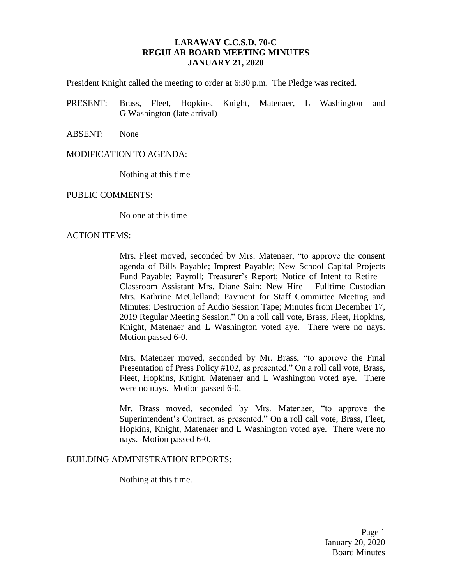## **LARAWAY C.C.S.D. 70-C REGULAR BOARD MEETING MINUTES JANUARY 21, 2020**

President Knight called the meeting to order at 6:30 p.m. The Pledge was recited.

- PRESENT: Brass, Fleet, Hopkins, Knight, Matenaer, L Washington and G Washington (late arrival)
- ABSENT: None

#### MODIFICATION TO AGENDA:

Nothing at this time

#### PUBLIC COMMENTS:

No one at this time

#### ACTION ITEMS:

Mrs. Fleet moved, seconded by Mrs. Matenaer, "to approve the consent agenda of Bills Payable; Imprest Payable; New School Capital Projects Fund Payable; Payroll; Treasurer's Report; Notice of Intent to Retire – Classroom Assistant Mrs. Diane Sain; New Hire – Fulltime Custodian Mrs. Kathrine McClelland: Payment for Staff Committee Meeting and Minutes: Destruction of Audio Session Tape; Minutes from December 17, 2019 Regular Meeting Session." On a roll call vote, Brass, Fleet, Hopkins, Knight, Matenaer and L Washington voted aye. There were no nays. Motion passed 6-0.

Mrs. Matenaer moved, seconded by Mr. Brass, "to approve the Final Presentation of Press Policy #102, as presented." On a roll call vote, Brass, Fleet, Hopkins, Knight, Matenaer and L Washington voted aye. There were no nays. Motion passed 6-0.

Mr. Brass moved, seconded by Mrs. Matenaer, "to approve the Superintendent's Contract, as presented." On a roll call vote, Brass, Fleet, Hopkins, Knight, Matenaer and L Washington voted aye. There were no nays. Motion passed 6-0.

### BUILDING ADMINISTRATION REPORTS:

Nothing at this time.

Page 1 January 20, 2020 Board Minutes